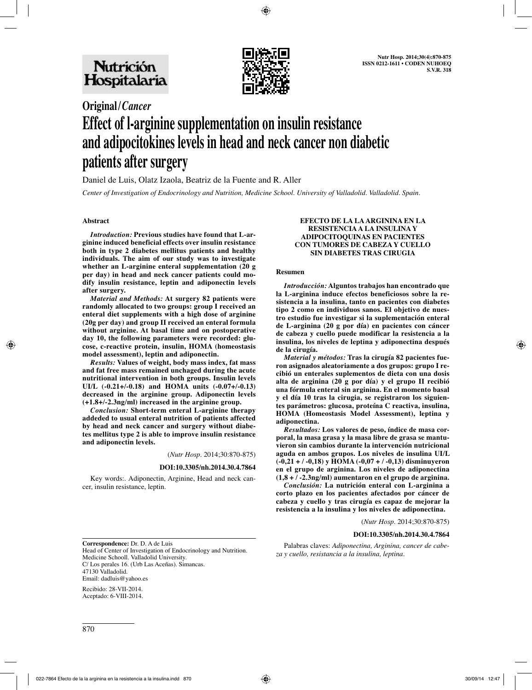

# **Original/***Cancer* **Effect of l-arginine supplementation on insulin resistance and adipocitokines levels in head and neck cancer non diabetic patients after surgery**

Daniel de Luis, Olatz Izaola, Beatriz de la Fuente and R. Aller

*Center of Investigation of Endocrinology and Nutrition, Medicine School. University of Valladolid. Valladolid. Spain.*

### **Abstract**

*Introduction:* **Previous studies have found that L-arginine induced beneficial effects over insulin resistance both in type 2 diabetes mellitus patients and healthy individuals. The aim of our study was to investigate whether an L-arginine enteral supplementation (20 g per day) in head and neck cancer patients could modify insulin resistance, leptin and adiponectin levels after surgery.**

*Material and Methods:* **At surgery 82 patients were randomly allocated to two groups: group I received an enteral diet supplements with a high dose of arginine (20g per day) and group II received an enteral formula without arginine. At basal time and on postoperative day 10, the following parameters were recorded: glucose, c-reactive protein, insulin, HOMA (homeostasis model assessment), leptin and adiponectin.** 

*Results:* **Values of weight, body mass index, fat mass and fat free mass remained unchaged during the acute nutritional intervention in both groups. Insulin levels UI/L (-0.21+/-0.18) and HOMA units (-0.07+/-0.13) decreased in the arginine group. Adiponectin levels (+1.8+/-2.3ng/ml) increased in the arginine group.**

*Conclusion:* **Short-term enteral L-arginine therapy addeded to usual enteral nutrition of patients affected by head and neck cancer and surgery without diabetes mellitus type 2 is able to improve insulin resistance and adiponectin levels.**

(*Nutr Hosp.* 2014;30:870-875)

#### **DOI:10.3305/nh.2014.30.4.7864**

Key words:*.* Adiponectin, Arginine, Head and neck cancer, insulin resistance, leptin*.* 

#### **EFECTO DE LA LA ARGININA EN LA RESISTENCIA A LA INSULINA Y ADIPOCITOQUINAS EN PACIENTES CON TUMORES DE CABEZA Y CUELLO SIN DIABETES TRAS CIRUGIA**

#### **Resumen**

*Introducción:* **Alguntos trabajos han encontrado que la L-arginina induce efectos beneficiosos sobre la resistencia a la insulina, tanto en pacientes con diabetes tipo 2 como en individuos sanos. El objetivo de nuestro estudio fue investigar si la suplementación enteral de L-arginina (20 g por día) en pacientes con cáncer de cabeza y cuello puede modificar la resistencia a la insulina, los niveles de leptina y adiponectina después de la cirugía.** 

*Material y métodos:* **Tras la cirugía 82 pacientes fueron asignados aleatoriamente a dos grupos: grupo I recibió un enterales suplementos de dieta con una dosis alta de arginina (20 g por día) y el grupo II recibió una fórmula enteral sin arginina. En el momento basal y el día 10 tras la cirugia, se registraron los siguientes parámetros: glucosa, proteína C reactiva, insulina, HOMA (Homeostasis Model Assessment), leptina y adiponectina.** 

*Resultados:* **Los valores de peso, índice de masa corporal, la masa grasa y la masa libre de grasa se mantuvieron sin cambios durante la intervención nutricional aguda en ambos grupos. Los niveles de insulina UI/L (-0,21 + / -0,18) y HOMA (-0,07 + / -0,13) disminuyeron en el grupo de arginina. Los niveles de adiponectina (1,8 + / -2.3ng/ml) aumentaron en el grupo de arginina.** 

*Conclusión:* **La nutrición enteral con L-arginina a corto plazo en los pacientes afectados por cáncer de cabeza y cuello y tras cirugía es capaz de mejorar la resistencia a la insulina y los niveles de adiponectina.**

(*Nutr Hosp.* 2014;30:870-875)

#### **DOI:10.3305/nh.2014.30.4.7864**

**Correspondence:** Dr. D. A de Luis Head of Center of Investigation of Endocrinology and Nutrition. Medicine Schooll. Valladolid University. C/ Los perales 16. (Urb Las Aceñas). Simancas. 47130 Valladolid. Email: dadluis@yahoo.es

Recibido: 28-VII-2014. Aceptado: 6-VIII-2014.

Palabras claves: *Adiponectina, Arginina, cancer de cabeza y cuello, resistancia a la insulina, leptina.*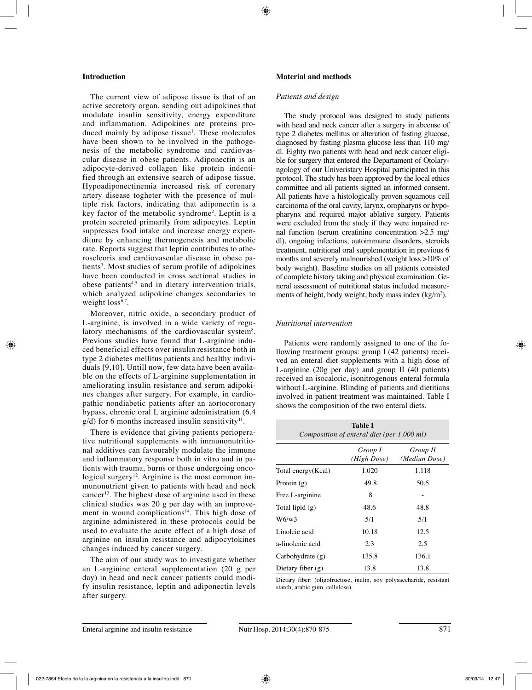# **Introduction**

The current view of adipose tissue is that of an active secretory organ, sending out adipokines that modulate insulin sensitivity, energy expenditure and inflammation. Adipokines are proteins produced mainly by adipose tissue<sup>1</sup>. These molecules have been shown to be involved in the pathogenesis of the metabolic syndrome and cardiovascular disease in obese patients. Adiponectin is an adipocyte-derived collagen like protein indentified through an extensive search of adipose tissue. Hypoadiponectinemia increased risk of coronary artery disease togheter with the presence of multiple risk factors, indicating that adiponectin is a key factor of the metabolic syndrome2 . Leptin is a protein secreted primarily from adipocytes. Leptin suppresses food intake and increase energy expenditure by enhancing thermogenesis and metabolic rate. Reports suggest that leptin contributes to atheroscleoris and cardiovascular disease in obese patients<sup>3</sup>. Most studies of serum profile of adipokines have been conducted in cross sectional studies in obese patients<sup>4,5</sup> and in dietary intervention trials, which analyzed adipokine changes secondaries to weight  $loss<sup>6,7</sup>$ .

Moreover, nitric oxide, a secondary product of L-arginine, is involved in a wide variety of regulatory mechanisms of the cardiovascular system<sup>8</sup>. Previous studies have found that L-arginine induced beneficial effects over insulin resistance both in type 2 diabetes mellitus patients and healthy individuals [9,10]. Untill now, few data have been available on the effects of L-arginine supplementation in ameliorating insulin resistance and serum adipokines changes after surgery. For example, in cardiopathic nondiabetic patients after an aortocoronary bypass, chronic oral L arginine administration (6.4  $g/d$ ) for 6 months increased insulin sensitivity<sup>11</sup>.

There is evidence that giving patients perioperative nutritional supplements with immunonutritional additives can favourably modulate the immune and inflammatory response both in vitro and in patients with trauma, burns or those undergoing oncological surgery<sup>12</sup>. Arginine is the most common immunonutrient given to patients with head and neck cancer<sup>13</sup>. The highest dose of arginine used in these clinical studies was 20 g per day with an improvement in wound complications<sup>14</sup>. This high dose of arginine administered in these protocols could be used to evaluate the acute effect of a high dose of arginine on insulin resistance and adipocytokines changes induced by cancer surgery.

The aim of our study was to investigate whether an L-arginine enteral supplementation (20 g per day) in head and neck cancer patients could modify insulin resistance, leptin and adiponectin levels after surgery.

## **Material and methods**

#### *Patients and design*

The study protocol was designed to study patients with head and neck cancer after a surgery in abcense of type 2 diabetes mellitus or alteration of fasting glucose, diagnosed by fasting plasma glucose less than 110 mg/ dl. Eighty two patients with head and neck cancer eligible for surgery that entered the Departament of Otolaryngology of our Univeristary Hospital participated in this protocol. The study has been approved by the local ethics committee and all patients signed an informed consent. All patients have a histologically proven squamous cell carcinoma of the oral cavity, larynx, oropharyns or hypopharynx and required major ablative surgery. Patients were excluded from the study if they were impaired renal function (serum creatinine concentration >2.5 mg/ dl), ongoing infections, autoimmune disorders, steroids treatment, nutritional oral supplementation in previous 6 months and severely malnourished (weight loss >10% of body weight). Baseline studies on all patients consisted of complete history taking and physical examination. General assessment of nutritional status included measurements of height, body weight, body mass index  $(kg/m<sup>2</sup>)$ .

# *Nutritional intervention*

Patients were randomly assigned to one of the following treatment groups: group I (42 patients) received an enteral diet supplements with a high dose of L-arginine (20g per day) and group II (40 patients) received an isocaloric, isonitrogenous enteral formula without L-arginine. Blinding of patients and dietitians involved in patient treatment was maintained. Table I shows the composition of the two enteral diets.

| <b>Table I</b><br>Composition of enteral diet (per 1.000 ml) |                        |                           |  |  |
|--------------------------------------------------------------|------------------------|---------------------------|--|--|
|                                                              | Group I<br>(High Dose) | Group II<br>(Mediun Dose) |  |  |
| Total energy (Kcal)                                          | 1.020                  | 1.118                     |  |  |
| Protein $(g)$                                                | 49.8                   | 50.5                      |  |  |
| Free L-arginine                                              | 8                      |                           |  |  |
| Total lipid $(g)$                                            | 48.6                   | 48.8                      |  |  |
| W6/w3                                                        | 5/1                    | 5/1                       |  |  |
| Linoleic acid                                                | 10.18                  | 12.5                      |  |  |
| a-linolenic acid                                             | 2.3                    | 2.5                       |  |  |
| Carbohydrate $(g)$                                           | 135.8                  | 136.1                     |  |  |
| Dietary fiber $(g)$                                          | 13.8                   | 13.8                      |  |  |

Dietary fiber: (oligofructose, inulin, soy polysaccharide, resistant starch, arabic gum, cellulose).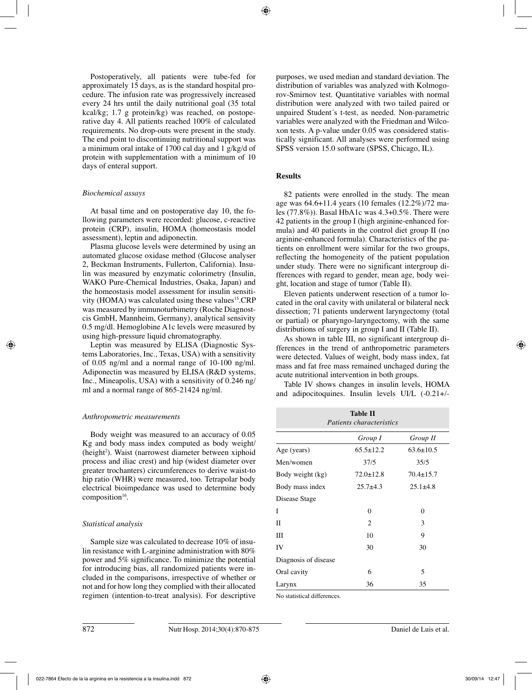Postoperatively, all patients were tube-fed for approximately 15 days, as is the standard hospital procedure. The infusion rate was progressively increased every 24 hrs until the daily nutritional goal (35 total kcal/kg; 1.7 g protein/kg) was reached, on postoperative day 4. All patients reached 100% of calculated requirements. No drop-outs were present in the study. The end point to discontinuing nutritional support was a minimum oral intake of 1700 cal day and 1 g/kg/d of protein with supplementation with a minimum of 10 days of enteral support.

# *Biochemical assays*

At basal time and on postoperative day 10, the following parameters were recorded: glucose, c-reactive protein (CRP), insulin, HOMA (homeostasis model assessment), leptin and adiponectin.

Plasma glucose levels were determined by using an automated glucose oxidase method (Glucose analyser 2, Beckman Instruments, Fullerton, California). Insulin was measured by enzymatic colorimetry (Insulin, WAKO Pure-Chemical Industries, Osaka, Japan) and the homeostasis model assessment for insulin sensitivity (HOMA) was calculated using these values<sup>15</sup>.CRP was measured by immunoturbimetry (Roche Diagnostcis GmbH, Mannheim, Germany), analytical sensivity 0.5 mg/dl. Hemoglobine A1c levels were measured by using high-pressure liquid chromatography.

Leptin was measured by ELISA (Diagnostic Systems Laboratories, Inc., Texas, USA) with a sensitivity of 0.05 ng/ml and a normal range of 10-100 ng/ml. Adiponectin was measured by ELISA (R&D systems, Inc., Mineapolis, USA) with a sensitivity of 0.246 ng/ ml and a normal range of 865-21424 ng/ml.

# *Anthropometric measurements*

Body weight was measured to an accuracy of 0.05 Kg and body mass index computed as body weight/ (height<sup>2</sup>). Waist (narrowest diameter between xiphoid process and iliac crest) and hip (widest diameter over greater trochanters) circumferences to derive waist-to hip ratio (WHR) were measured, too. Tetrapolar body electrical bioimpedance was used to determine body composition<sup>16</sup>.

# *Statistical analysis*

Sample size was calculated to decrease 10% of insulin resistance with L-arginine administration with 80% power and 5% significance. To minimize the potential for introducing bias, all randomized patients were included in the comparisons, irrespective of whether or not and for how long they complied with their allocated regimen (intention-to-treat analysis). For descriptive purposes, we used median and standard deviation. The distribution of variables was analyzed with Kolmogorov-Smirnov test. Quantitative variables with normal distribution were analyzed with two tailed paired or unpaired Student´s t-test, as needed. Non-parametric variables were analyzed with the Friedman and Wilcoxon tests. A p-value under 0.05 was considered statistically significant. All analyses were performed using SPSS version 15.0 software (SPSS, Chicago, IL).

# **Results**

82 patients were enrolled in the study. The mean age was 64.6+11.4 years (10 females (12.2%)/72 males (77.8%)). Basal HbA1c was 4.3+0.5%. There were 42 patients in the group I (high arginine-enhanced formula) and 40 patients in the control diet group II (no arginine-enhanced formula). Characteristics of the patients on enrollment were similar for the two groups, reflecting the homogeneity of the patient population under study. There were no significant intergroup differences with regard to gender, mean age, body weight, location and stage of tumor (Table II).

Eleven patients underwent resection of a tumor located in the oral cavity with unilateral or bilateral neck dissection; 71 patients underwent laryngectomy (total or partial) or pharyngo-laryngectomy, with the same distributions of surgery in group I and II (Table II).

As shown in table III, no significant intergroup differences in the trend of anthropometric parameters were detected. Values of weight, body mass index, fat mass and fat free mass remained unchaged during the acute nutritional intervention in both groups.

Table IV shows changes in insulin levels, HOMA and adipocitoquines. Insulin levels UI/L (-0.21+/-

| <b>Table II</b><br><i>Patients characteristics</i> |                 |                 |  |  |
|----------------------------------------------------|-----------------|-----------------|--|--|
|                                                    | Group I         | Group II        |  |  |
| Age (years)                                        | $65.5 \pm 12.2$ | $63.6 \pm 10.5$ |  |  |
| Men/women                                          | 37/5            | 35/5            |  |  |
| Body weight (kg)                                   | $72.0 \pm 12.8$ | $70.4 \pm 15.7$ |  |  |
| Body mass index                                    | $25.7 + 4.3$    | $25.1 \pm 4.8$  |  |  |
| Disease Stage                                      |                 |                 |  |  |
| T                                                  | $\theta$        | 0               |  |  |
| П                                                  | 2               | 3               |  |  |
| Ш                                                  | 10              | 9               |  |  |
| IV                                                 | 30              | 30              |  |  |
| Diagnosis of disease                               |                 |                 |  |  |
| Oral cavity                                        | 6               | 5               |  |  |
| Larynx                                             | 36              | 35              |  |  |

No statistical differences.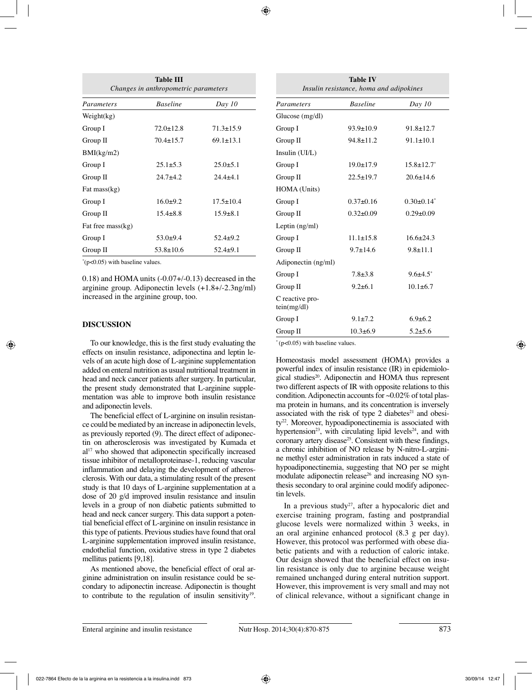| <b>Table III</b><br>Changes in anthropometric parameters |                 |                 |  |
|----------------------------------------------------------|-----------------|-----------------|--|
| Parameters                                               | <b>Baseline</b> | Day 10          |  |
| Weight(kg)                                               |                 |                 |  |
| Group I                                                  | $72.0 \pm 12.8$ | $71.3 \pm 15.9$ |  |
| Group II                                                 | $70.4 \pm 15.7$ | $69.1 \pm 13.1$ |  |
| BMI(kg/m2)                                               |                 |                 |  |
| Group I                                                  | $25.1 \pm 5.3$  | $25.0 \pm 5.1$  |  |
| Group II                                                 | $24.7 + 4.2$    | $24.4 + 4.1$    |  |
| Fat mass $(kg)$                                          |                 |                 |  |
| Group I                                                  | $16.0+9.2$      | $17.5 \pm 10.4$ |  |
| Group II                                                 | $15.4\pm8.8$    | $15.9 \pm 8.1$  |  |
| Fat free mass(kg)                                        |                 |                 |  |
| Group I                                                  | $53.0+9.4$      | $52.4 \pm 9.2$  |  |
| Group II                                                 | $53.8 \pm 10.6$ | $52.4 \pm 9.1$  |  |

\* (p<0.05) with baseline values.

0.18) and HOMA units (-0.07+/-0.13) decreased in the arginine group. Adiponectin levels (+1.8+/-2.3ng/ml) increased in the arginine group, too.

# **DISCUSSION**

To our knowledge, this is the first study evaluating the effects on insulin resistance, adiponectina and leptin levels of an acute high dose of L-arginine supplementation added on enteral nutrition as usual nutritional treatment in head and neck cancer patients after surgery. In particular, the present study demonstrated that L-arginine supplementation was able to improve both insulin resistance and adiponectin levels.

The beneficial effect of L-arginine on insulin resistance could be mediated by an increase in adiponectin levels, as previously reported (9). The direct effect of adiponectin on atherosclerosis was investigated by Kumada et al<sup>17</sup> who showed that adiponectin specifically increased tissue inhibitor of metalloproteinase-1, reducing vascular inflammation and delaying the development of atherosclerosis. With our data, a stimulating result of the present study is that 10 days of L-arginine supplementation at a dose of 20 g/d improved insulin resistance and insulin levels in a group of non diabetic patients submitted to head and neck cancer surgery. This data support a potential beneficial effect of L-arginine on insulin resistance in this type of patients. Previous studies have found that oral L-arginine supplementation improved insulin resistance, endothelial function, oxidative stress in type 2 diabetes mellitus patients [9,18].

As mentioned above, the beneficial effect of oral arginine administration on insulin resistance could be secondary to adiponectin increase. Adiponectin is thought to contribute to the regulation of insulin sensitivity<sup>19</sup>.

| <b>Table IV</b><br>Insulin resistance, homa and adipokines |                 |                   |  |  |
|------------------------------------------------------------|-----------------|-------------------|--|--|
| Parameters                                                 | <b>Baseline</b> | Day 10            |  |  |
| Glucose $(mg/dl)$                                          |                 |                   |  |  |
| Group I                                                    | $93.9 \pm 10.9$ | $91.8 \pm 12.7$   |  |  |
| Group II                                                   | $94.8 \pm 11.2$ | $91.1 \pm 10.1$   |  |  |
| Insulin (UI/L)                                             |                 |                   |  |  |
| Group I                                                    | $19.0 \pm 17.9$ | $15.8 \pm 12.7^*$ |  |  |
| Group II                                                   | $22.5 \pm 19.7$ | $20.6 \pm 14.6$   |  |  |
| HOMA (Units)                                               |                 |                   |  |  |
| Group I                                                    | $0.37\pm0.16$   | $0.30\pm0.14^*$   |  |  |
| Group II                                                   | $0.32 \pm 0.09$ | $0.29 \pm 0.09$   |  |  |
| Leptin (ng/ml)                                             |                 |                   |  |  |
| Group I                                                    | $11.1 \pm 15.8$ | $16.6 \pm 24.3$   |  |  |
| Group II                                                   | $9.7 \pm 14.6$  | $9.8 \pm 11.1$    |  |  |
| Adiponectin (ng/ml)                                        |                 |                   |  |  |
| Group I                                                    | $7.8 + 3.8$     | $9.6{\pm}4.5^*$   |  |  |
| Group II                                                   | $9.2 \pm 6.1$   | $10.1 \pm 6.7$    |  |  |
| C reactive pro-<br>tein(mg/dl)                             |                 |                   |  |  |
| Group I                                                    | $9.1 \pm 7.2$   | $6.9 \pm 6.2$     |  |  |
| Group II                                                   | $10.3 \pm 6.9$  | $5.2 \pm 5.6$     |  |  |

 $*(p<0.05)$  with baseline values.

Homeostasis model assessment (HOMA) provides a powerful index of insulin resistance (IR) in epidemiological studies<sup>20</sup>. Adiponectin and HOMA thus represent two different aspects of IR with opposite relations to this condition. Adiponectin accounts for ~0.02% of total plasma protein in humans, and its concentration is inversely associated with the risk of type 2 diabetes $2<sup>1</sup>$  and obesity<sup>22</sup>. Moreover, hypoadiponectinemia is associated with hypertension<sup>23</sup>, with circulating lipid levels<sup>24</sup>, and with coronary artery disease<sup>25</sup>. Consistent with these findings, a chronic inhibition of NO release by N-nitro-L-arginine methyl ester administration in rats induced a state of hypoadiponectinemia, suggesting that NO per se might modulate adiponectin release<sup>26</sup> and increasing NO synthesis secondary to oral arginine could modify adiponectin levels.

In a previous study<sup>27</sup>, after a hypocaloric diet and exercise training program, fasting and postprandial glucose levels were normalized within 3 weeks, in an oral arginine enhanced protocol (8.3 g per day). However, this protocol was performed with obese diabetic patients and with a reduction of caloric intake. Our design showed that the beneficial effect on insulin resistance is only due to arginine because weight remained unchanged during enteral nutrition support. However, this improvement is very small and may not of clinical relevance, without a significant change in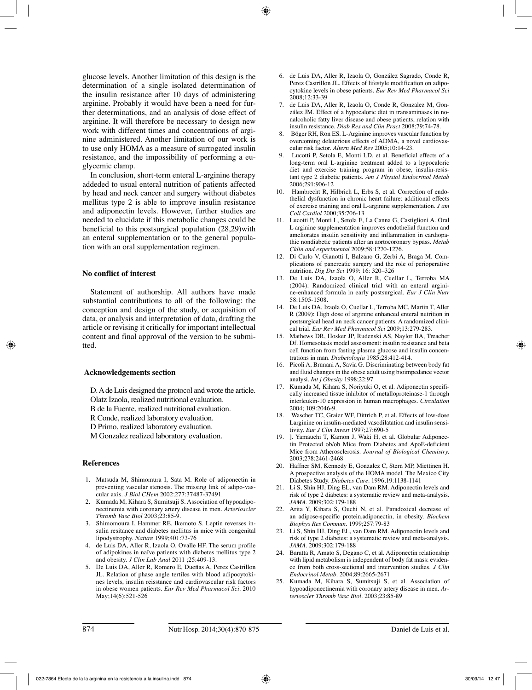glucose levels. Another limitation of this design is the determination of a single isolated determination of the insulin resistance after 10 days of administering arginine. Probably it would have been a need for further determinations, and an analysis of dose effect of arginine. It will therefore be necessary to design new work with different times and concentrations of arginine administered. Another limitation of our work is to use only HOMA as a measure of surrogated insulin resistance, and the impossibility of performing a euglycemic clamp.

In conclusion, short-term enteral L-arginine therapy addeded to usual enteral nutrition of patients affected by head and neck cancer and surgery without diabetes mellitus type 2 is able to improve insulin resistance and adiponectin levels. However, further studies are needed to elucidate if this metabolic changes could be beneficial to this postsurgical population (28,29)with an enteral supplementation or to the general population with an oral supplementation regimen.

## **No conflict of interest**

Statement of authorship. All authors have made substantial contributions to all of the following: the conception and design of the study, or acquisition of data, or analysis and interpretation of data, drafting the article or revising it critically for important intellectual content and final approval of the version to be submitted.

#### **Acknowledgements section**

D. A de Luis designed the protocol and wrote the article. Olatz Izaola, realized nutritional evaluation.

B de la Fuente, realized nutritional evaluation.

R Conde, realized laboratory evaluation.

D Primo, realized laboratory evaluation.

M Gonzalez realized laboratory evaluation.

#### **References**

- 1. Matsuda M, Shimomura I, Sata M. Role of adiponectin in preventing vascular stenosis. The missing link of adipo-vascular axis. *J Biol CHem* 2002;277:37487-37491.
- 2. Kumada M, Kihara S, Sumitsuji S. Association of hypoadiponectinemia with coronary artery disease in men. *Arterioscler Thromb Vasc Biol* 2003;23:85-9.
- 3. Shimomoura I, Hammer RE, Ikemoto S. Leptin reverses insulin resitance and diabetes mellitus in mice with congenital lipodystrophy. *Nature* 1999;401:73-76
- 4. de Luis DA, Aller R, Izaola O, Ovalle HF. The serum profile of adipokines in naïve patients with diabetes mellitus type 2 and obesity. *J Clin Lab Anal* 2011 ;25:409-13.
- 5. De Luis DA, Aller R, Romero E, Dueñas A, Perez Castrillon JL. Relation of phase angle tertiles with blood adipocytokines levels, insulin reisstance and cardiovascular risk factors in obese women patients. *Eur Rev Med Pharmacol Sci.* 2010 May;14(6):521-526
- 6. de Luis DA, Aller R, Izaola O, González Sagrado, Conde R, Perez Castrillon JL. Effects of lifestyle modification on adipocytokine levels in obese patients. *Eur Rev Med Pharmacol Sci*  $2008.12.33-39$
- 7. de Luis DA, Aller R, Izaola O, Conde R, Gonzalez M, González JM. Effect of a hypocaloric diet in transaminases in nonalcoholic fatty liver disease and obese patients, relation with insulin resistance. *Diab Res and Clin Pract* 2008;79:74-78.
- 8. Böger RH, Ron ES. L-Arginine improves vascular function by overcoming deleterious effects of ADMA, a novel cardiovascular risk factor. *Altern Med Rev* 2005;10:14-23.
- 9. Lucotti P, Setola E, Monti LD, et al. Beneficial effects of a long-term oral L-arginine treatment added to a hypocaloric diet and exercise training program in obese, insulin-resistant type 2 diabetic patients. *Am J Physiol Endocrinol Metab* 2006;291:906-12
- 10. Hambrecht R, Hilbrich L, Erbs S, et al. Correction of endothelial dysfunction in chronic heart failure: additional effects of exercise training and oral L-arginine supplementation. *J am Coll Cardiol* 2000;35:706-13
- 11. Lucotti P, Monti L, Setola E, La Canna G, Castiglioni A. Oral L arginine supplementation improves endothelial function and ameliorates insulin sensitivity and inflammation in cardiopathic nondiabetic patients after an aortocoronary bypass. *Metab Cklin and experimental* 2009;58:1270-1276.
- 12. Di Carlo V, Gianotti I, Balzano G, Zerbi A, Braga M. Complications of pancreatic surgery and the role of perioperative nutrition. *Dig Dis Sci* 1999: 16: 320–326
- 13. De Luis DA, Izaola O, Aller R, Cuellar L, Terroba MA (2004): Randomized clinical trial with an enteral arginine-enhanced formula in early postsurgical. *Eur J Clin Nutr* 58:1505-1508.
- 14. De Luis DA, Izaola O, Cuellar L, Terroba MC, Martin T, Aller R (2009): High dose of arginine enhanced enteral nutrition in postsurgical head an neck cancer patients. A randomized clinical trial. *Eur Rev Med Pharmacol Sci* 2009;13:279-283.
- 15. Mathews DR, Hosker JP, Rudenski AS, Naylor BA, Treacher Df. Homesotasis model assessment: insulin resistance and beta cell function from fasting plasma glucose and insulin concentrations in man. *Diabetologia* 1985;28:412-414.
- 16. Picoli A, Brunani A, Savia G. Discriminating between body fat and fluid changes in the obese adult using bioimpedance vector analysi. *Int j Obesity* 1998;22:97.
- 17. Kumada M, Kihara S, Noriyuki O, et al. Adiponectin specifically increased tissue inhibitor of metalloproteinase-1 through interleukin-10 expression in human macrophages. *Circulation* 2004; 109:2046-9.
- 18. Wascher TC, Graier WF, Dittrich P, et al. Effects of low-dose Larginine on insulin-mediated vasodilatation and insulin sensitivity. *Eur J Clin Invest* 1997;27:690-5
- 1. Yamauchi T, Kamon J, Waki H, et al. Globular Adiponectin Protected ob/ob Mice from Diabetes and ApoE-deficient Mice from Atherosclerosis. *Journal of Biological Chemistry.* 2003;278:2461-2468
- 20. Haffner SM, Kennedy E, Gonzalez C, Stern MP, Miettinen H. A prospective analysis of the HOMA model. The Mexico City Diabetes Study. *Diabetes Care.* 1996;19:1138-1141
- 21. Li S, Shin HJ, Ding EL, van Dam RM. Adiponectin levels and risk of type 2 diabetes: a systematic review and meta-analysis. *JAMA.* 2009;302:179-188
- 22. Arita Y, Kihara S, Ouchi N, et al. Paradoxical decrease of an adipose-specific protein,adiponectin, in obesity. *Biochem Biophys Res Commun.* 1999;257:79-83
- 23. Li S, Shin HJ, Ding EL, van Dam RM. Adiponectin levels and risk of type 2 diabetes: a systematic review and meta-analysis. *JAMA.* 2009;302:179-188
- 24. Baratta R, Amato S, Degano C, et al. Adiponectin relationship with lipid metabolism is independent of body fat mass: evidence from both cross-sectional and intervention studies. *J Clin Endocrinol Metab.* 2004;89:2665-2671
- 25. Kumada M, Kihara S, Sumitsuji S, et al. Association of hypoadiponectinemia with coronary artery disease in men. *Arterioscler Thromb Vasc Biol.* 2003;23:85-89